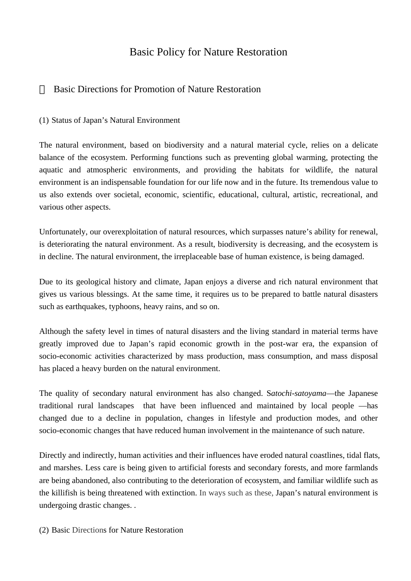# Basic Policy for Nature Restoration

# Basic Directions for Promotion of Nature Restoration

(1) Status of Japan's Natural Environment

The natural environment, based on biodiversity and a natural material cycle, relies on a delicate balance of the ecosystem. Performing functions such as preventing global warming, protecting the aquatic and atmospheric environments, and providing the habitats for wildlife, the natural environment is an indispensable foundation for our life now and in the future. Its tremendous value to us also extends over societal, economic, scientific, educational, cultural, artistic, recreational, and various other aspects.

Unfortunately, our overexploitation of natural resources, which surpasses nature's ability for renewal, is deteriorating the natural environment. As a result, biodiversity is decreasing, and the ecosystem is in decline. The natural environment, the irreplaceable base of human existence, is being damaged.

Due to its geological history and climate, Japan enjoys a diverse and rich natural environment that gives us various blessings. At the same time, it requires us to be prepared to battle natural disasters such as earthquakes, typhoons, heavy rains, and so on.

Although the safety level in times of natural disasters and the living standard in material terms have greatly improved due to Japan's rapid economic growth in the post-war era, the expansion of socio-economic activities characterized by mass production, mass consumption, and mass disposal has placed a heavy burden on the natural environment.

The quality of secondary natural environment has also changed. S*atochi-satoyama*—the Japanese traditional rural landscapes that have been influenced and maintained by local people —has changed due to a decline in population, changes in lifestyle and production modes, and other socio-economic changes that have reduced human involvement in the maintenance of such nature.

Directly and indirectly, human activities and their influences have eroded natural coastlines, tidal flats, and marshes. Less care is being given to artificial forests and secondary forests, and more farmlands are being abandoned, also contributing to the deterioration of ecosystem, and familiar wildlife such as the killifish is being threatened with extinction. In ways such as these, Japan's natural environment is undergoing drastic changes. .

(2) Basic Directions for Nature Restoration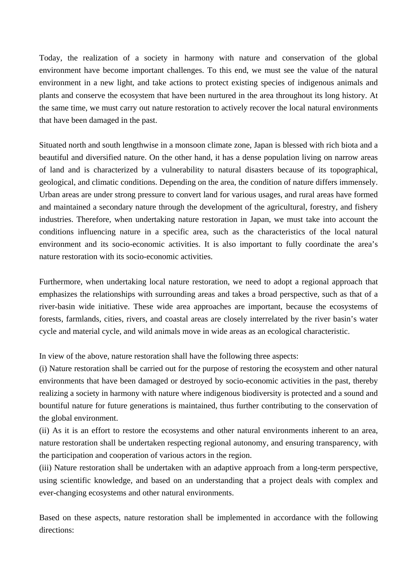Today, the realization of a society in harmony with nature and conservation of the global environment have become important challenges. To this end, we must see the value of the natural environment in a new light, and take actions to protect existing species of indigenous animals and plants and conserve the ecosystem that have been nurtured in the area throughout its long history. At the same time, we must carry out nature restoration to actively recover the local natural environments that have been damaged in the past.

Situated north and south lengthwise in a monsoon climate zone, Japan is blessed with rich biota and a beautiful and diversified nature. On the other hand, it has a dense population living on narrow areas of land and is characterized by a vulnerability to natural disasters because of its topographical, geological, and climatic conditions. Depending on the area, the condition of nature differs immensely. Urban areas are under strong pressure to convert land for various usages, and rural areas have formed and maintained a secondary nature through the development of the agricultural, forestry, and fishery industries. Therefore, when undertaking nature restoration in Japan, we must take into account the conditions influencing nature in a specific area, such as the characteristics of the local natural environment and its socio-economic activities. It is also important to fully coordinate the area's nature restoration with its socio-economic activities.

Furthermore, when undertaking local nature restoration, we need to adopt a regional approach that emphasizes the relationships with surrounding areas and takes a broad perspective, such as that of a river-basin wide initiative. These wide area approaches are important, because the ecosystems of forests, farmlands, cities, rivers, and coastal areas are closely interrelated by the river basin's water cycle and material cycle, and wild animals move in wide areas as an ecological characteristic.

In view of the above, nature restoration shall have the following three aspects:

(i) Nature restoration shall be carried out for the purpose of restoring the ecosystem and other natural environments that have been damaged or destroyed by socio-economic activities in the past, thereby realizing a society in harmony with nature where indigenous biodiversity is protected and a sound and bountiful nature for future generations is maintained, thus further contributing to the conservation of the global environment.

(ii) As it is an effort to restore the ecosystems and other natural environments inherent to an area, nature restoration shall be undertaken respecting regional autonomy, and ensuring transparency, with the participation and cooperation of various actors in the region.

(iii) Nature restoration shall be undertaken with an adaptive approach from a long-term perspective, using scientific knowledge, and based on an understanding that a project deals with complex and ever-changing ecosystems and other natural environments.

Based on these aspects, nature restoration shall be implemented in accordance with the following directions: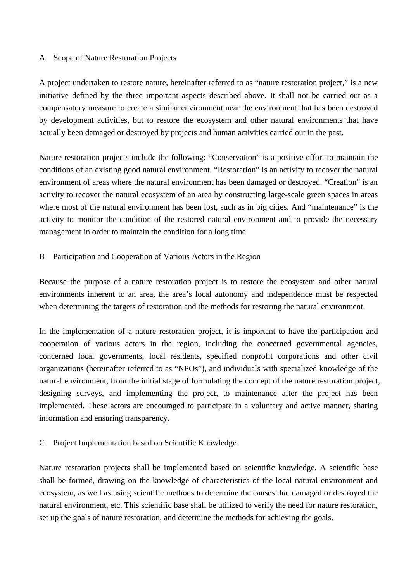#### A Scope of Nature Restoration Projects

A project undertaken to restore nature, hereinafter referred to as "nature restoration project," is a new initiative defined by the three important aspects described above. It shall not be carried out as a compensatory measure to create a similar environment near the environment that has been destroyed by development activities, but to restore the ecosystem and other natural environments that have actually been damaged or destroyed by projects and human activities carried out in the past.

Nature restoration projects include the following: "Conservation" is a positive effort to maintain the conditions of an existing good natural environment. "Restoration" is an activity to recover the natural environment of areas where the natural environment has been damaged or destroyed. "Creation" is an activity to recover the natural ecosystem of an area by constructing large-scale green spaces in areas where most of the natural environment has been lost, such as in big cities. And "maintenance" is the activity to monitor the condition of the restored natural environment and to provide the necessary management in order to maintain the condition for a long time.

### B Participation and Cooperation of Various Actors in the Region

Because the purpose of a nature restoration project is to restore the ecosystem and other natural environments inherent to an area, the area's local autonomy and independence must be respected when determining the targets of restoration and the methods for restoring the natural environment.

In the implementation of a nature restoration project, it is important to have the participation and cooperation of various actors in the region, including the concerned governmental agencies, concerned local governments, local residents, specified nonprofit corporations and other civil organizations (hereinafter referred to as "NPOs"), and individuals with specialized knowledge of the natural environment, from the initial stage of formulating the concept of the nature restoration project, designing surveys, and implementing the project, to maintenance after the project has been implemented. These actors are encouraged to participate in a voluntary and active manner, sharing information and ensuring transparency.

## C Project Implementation based on Scientific Knowledge

Nature restoration projects shall be implemented based on scientific knowledge. A scientific base shall be formed, drawing on the knowledge of characteristics of the local natural environment and ecosystem, as well as using scientific methods to determine the causes that damaged or destroyed the natural environment, etc. This scientific base shall be utilized to verify the need for nature restoration, set up the goals of nature restoration, and determine the methods for achieving the goals.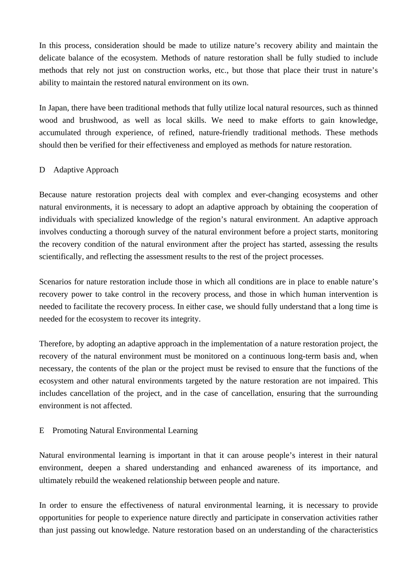In this process, consideration should be made to utilize nature's recovery ability and maintain the delicate balance of the ecosystem. Methods of nature restoration shall be fully studied to include methods that rely not just on construction works, etc., but those that place their trust in nature's ability to maintain the restored natural environment on its own.

In Japan, there have been traditional methods that fully utilize local natural resources, such as thinned wood and brushwood, as well as local skills. We need to make efforts to gain knowledge, accumulated through experience, of refined, nature-friendly traditional methods. These methods should then be verified for their effectiveness and employed as methods for nature restoration.

## D Adaptive Approach

Because nature restoration projects deal with complex and ever-changing ecosystems and other natural environments, it is necessary to adopt an adaptive approach by obtaining the cooperation of individuals with specialized knowledge of the region's natural environment. An adaptive approach involves conducting a thorough survey of the natural environment before a project starts, monitoring the recovery condition of the natural environment after the project has started, assessing the results scientifically, and reflecting the assessment results to the rest of the project processes.

Scenarios for nature restoration include those in which all conditions are in place to enable nature's recovery power to take control in the recovery process, and those in which human intervention is needed to facilitate the recovery process. In either case, we should fully understand that a long time is needed for the ecosystem to recover its integrity.

Therefore, by adopting an adaptive approach in the implementation of a nature restoration project, the recovery of the natural environment must be monitored on a continuous long-term basis and, when necessary, the contents of the plan or the project must be revised to ensure that the functions of the ecosystem and other natural environments targeted by the nature restoration are not impaired. This includes cancellation of the project, and in the case of cancellation, ensuring that the surrounding environment is not affected.

## E Promoting Natural Environmental Learning

Natural environmental learning is important in that it can arouse people's interest in their natural environment, deepen a shared understanding and enhanced awareness of its importance, and ultimately rebuild the weakened relationship between people and nature.

In order to ensure the effectiveness of natural environmental learning, it is necessary to provide opportunities for people to experience nature directly and participate in conservation activities rather than just passing out knowledge. Nature restoration based on an understanding of the characteristics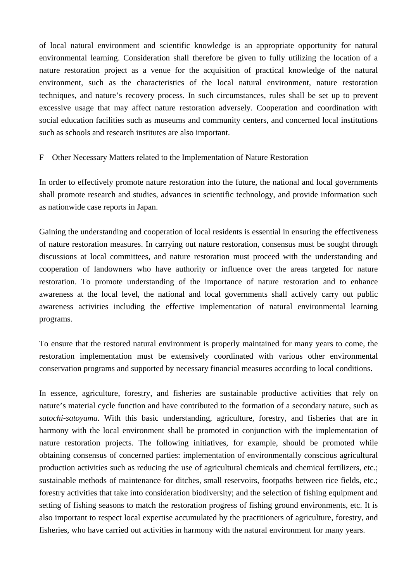of local natural environment and scientific knowledge is an appropriate opportunity for natural environmental learning. Consideration shall therefore be given to fully utilizing the location of a nature restoration project as a venue for the acquisition of practical knowledge of the natural environment, such as the characteristics of the local natural environment, nature restoration techniques, and nature's recovery process. In such circumstances, rules shall be set up to prevent excessive usage that may affect nature restoration adversely. Cooperation and coordination with social education facilities such as museums and community centers, and concerned local institutions such as schools and research institutes are also important.

#### F Other Necessary Matters related to the Implementation of Nature Restoration

In order to effectively promote nature restoration into the future, the national and local governments shall promote research and studies, advances in scientific technology, and provide information such as nationwide case reports in Japan.

Gaining the understanding and cooperation of local residents is essential in ensuring the effectiveness of nature restoration measures. In carrying out nature restoration, consensus must be sought through discussions at local committees, and nature restoration must proceed with the understanding and cooperation of landowners who have authority or influence over the areas targeted for nature restoration. To promote understanding of the importance of nature restoration and to enhance awareness at the local level, the national and local governments shall actively carry out public awareness activities including the effective implementation of natural environmental learning programs.

To ensure that the restored natural environment is properly maintained for many years to come, the restoration implementation must be extensively coordinated with various other environmental conservation programs and supported by necessary financial measures according to local conditions.

In essence, agriculture, forestry, and fisheries are sustainable productive activities that rely on nature's material cycle function and have contributed to the formation of a secondary nature, such as *satochi-satoyama.* With this basic understanding, agriculture, forestry, and fisheries that are in harmony with the local environment shall be promoted in conjunction with the implementation of nature restoration projects. The following initiatives, for example, should be promoted while obtaining consensus of concerned parties: implementation of environmentally conscious agricultural production activities such as reducing the use of agricultural chemicals and chemical fertilizers, etc.; sustainable methods of maintenance for ditches, small reservoirs, footpaths between rice fields, etc.; forestry activities that take into consideration biodiversity; and the selection of fishing equipment and setting of fishing seasons to match the restoration progress of fishing ground environments, etc. It is also important to respect local expertise accumulated by the practitioners of agriculture, forestry, and fisheries, who have carried out activities in harmony with the natural environment for many years.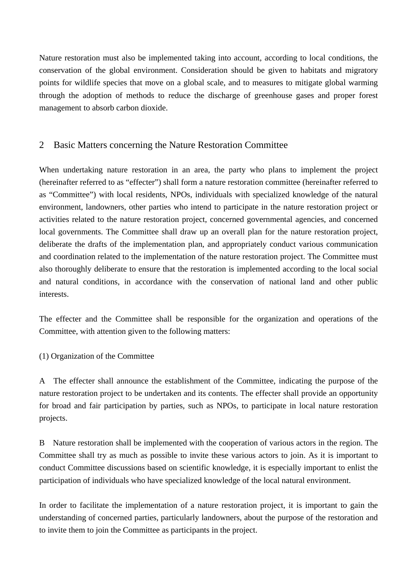Nature restoration must also be implemented taking into account, according to local conditions, the conservation of the global environment. Consideration should be given to habitats and migratory points for wildlife species that move on a global scale, and to measures to mitigate global warming through the adoption of methods to reduce the discharge of greenhouse gases and proper forest management to absorb carbon dioxide.

## 2 Basic Matters concerning the Nature Restoration Committee

When undertaking nature restoration in an area, the party who plans to implement the project (hereinafter referred to as "effecter") shall form a nature restoration committee (hereinafter referred to as "Committee") with local residents, NPOs, individuals with specialized knowledge of the natural environment, landowners, other parties who intend to participate in the nature restoration project or activities related to the nature restoration project, concerned governmental agencies, and concerned local governments. The Committee shall draw up an overall plan for the nature restoration project, deliberate the drafts of the implementation plan, and appropriately conduct various communication and coordination related to the implementation of the nature restoration project. The Committee must also thoroughly deliberate to ensure that the restoration is implemented according to the local social and natural conditions, in accordance with the conservation of national land and other public interests.

The effecter and the Committee shall be responsible for the organization and operations of the Committee, with attention given to the following matters:

## (1) Organization of the Committee

A The effecter shall announce the establishment of the Committee, indicating the purpose of the nature restoration project to be undertaken and its contents. The effecter shall provide an opportunity for broad and fair participation by parties, such as NPOs, to participate in local nature restoration projects.

B Nature restoration shall be implemented with the cooperation of various actors in the region. The Committee shall try as much as possible to invite these various actors to join. As it is important to conduct Committee discussions based on scientific knowledge, it is especially important to enlist the participation of individuals who have specialized knowledge of the local natural environment.

In order to facilitate the implementation of a nature restoration project, it is important to gain the understanding of concerned parties, particularly landowners, about the purpose of the restoration and to invite them to join the Committee as participants in the project.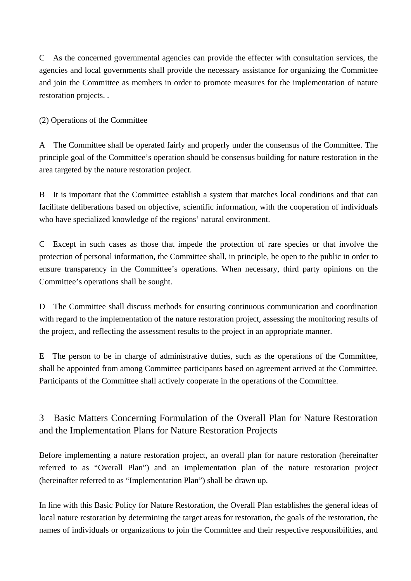C As the concerned governmental agencies can provide the effecter with consultation services, the agencies and local governments shall provide the necessary assistance for organizing the Committee and join the Committee as members in order to promote measures for the implementation of nature restoration projects. .

(2) Operations of the Committee

A The Committee shall be operated fairly and properly under the consensus of the Committee. The principle goal of the Committee's operation should be consensus building for nature restoration in the area targeted by the nature restoration project.

B It is important that the Committee establish a system that matches local conditions and that can facilitate deliberations based on objective, scientific information, with the cooperation of individuals who have specialized knowledge of the regions' natural environment.

C Except in such cases as those that impede the protection of rare species or that involve the protection of personal information, the Committee shall, in principle, be open to the public in order to ensure transparency in the Committee's operations. When necessary, third party opinions on the Committee's operations shall be sought.

D The Committee shall discuss methods for ensuring continuous communication and coordination with regard to the implementation of the nature restoration project, assessing the monitoring results of the project, and reflecting the assessment results to the project in an appropriate manner.

E The person to be in charge of administrative duties, such as the operations of the Committee, shall be appointed from among Committee participants based on agreement arrived at the Committee. Participants of the Committee shall actively cooperate in the operations of the Committee.

# 3 Basic Matters Concerning Formulation of the Overall Plan for Nature Restoration and the Implementation Plans for Nature Restoration Projects

Before implementing a nature restoration project, an overall plan for nature restoration (hereinafter referred to as "Overall Plan") and an implementation plan of the nature restoration project (hereinafter referred to as "Implementation Plan") shall be drawn up.

In line with this Basic Policy for Nature Restoration, the Overall Plan establishes the general ideas of local nature restoration by determining the target areas for restoration, the goals of the restoration, the names of individuals or organizations to join the Committee and their respective responsibilities, and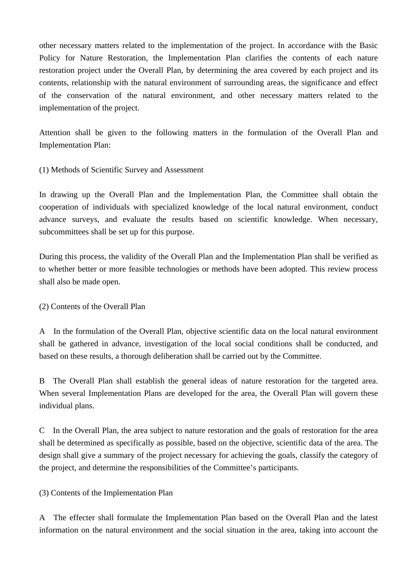other necessary matters related to the implementation of the project. In accordance with the Basic Policy for Nature Restoration, the Implementation Plan clarifies the contents of each nature restoration project under the Overall Plan, by determining the area covered by each project and its contents, relationship with the natural environment of surrounding areas, the significance and effect of the conservation of the natural environment, and other necessary matters related to the implementation of the project.

Attention shall be given to the following matters in the formulation of the Overall Plan and Implementation Plan:

(1) Methods of Scientific Survey and Assessment

In drawing up the Overall Plan and the Implementation Plan, the Committee shall obtain the cooperation of individuals with specialized knowledge of the local natural environment, conduct advance surveys, and evaluate the results based on scientific knowledge. When necessary, subcommittees shall be set up for this purpose.

During this process, the validity of the Overall Plan and the Implementation Plan shall be verified as to whether better or more feasible technologies or methods have been adopted. This review process shall also be made open.

(2) Contents of the Overall Plan

A In the formulation of the Overall Plan, objective scientific data on the local natural environment shall be gathered in advance, investigation of the local social conditions shall be conducted, and based on these results, a thorough deliberation shall be carried out by the Committee.

B The Overall Plan shall establish the general ideas of nature restoration for the targeted area. When several Implementation Plans are developed for the area, the Overall Plan will govern these individual plans.

C In the Overall Plan, the area subject to nature restoration and the goals of restoration for the area shall be determined as specifically as possible, based on the objective, scientific data of the area. The design shall give a summary of the project necessary for achieving the goals, classify the category of the project, and determine the responsibilities of the Committee's participants.

(3) Contents of the Implementation Plan

A The effecter shall formulate the Implementation Plan based on the Overall Plan and the latest information on the natural environment and the social situation in the area, taking into account the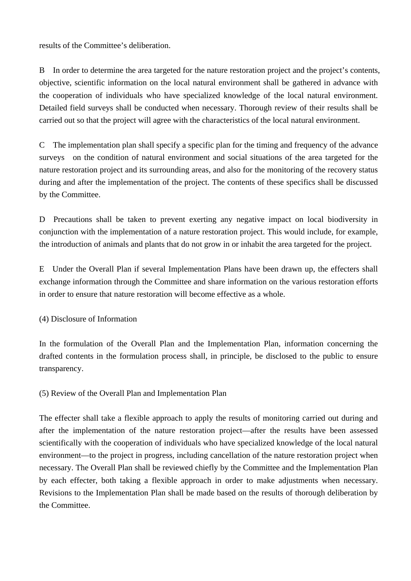results of the Committee's deliberation.

B In order to determine the area targeted for the nature restoration project and the project's contents, objective, scientific information on the local natural environment shall be gathered in advance with the cooperation of individuals who have specialized knowledge of the local natural environment. Detailed field surveys shall be conducted when necessary. Thorough review of their results shall be carried out so that the project will agree with the characteristics of the local natural environment.

C The implementation plan shall specify a specific plan for the timing and frequency of the advance surveys on the condition of natural environment and social situations of the area targeted for the nature restoration project and its surrounding areas, and also for the monitoring of the recovery status during and after the implementation of the project. The contents of these specifics shall be discussed by the Committee.

D Precautions shall be taken to prevent exerting any negative impact on local biodiversity in conjunction with the implementation of a nature restoration project. This would include, for example, the introduction of animals and plants that do not grow in or inhabit the area targeted for the project.

E Under the Overall Plan if several Implementation Plans have been drawn up, the effecters shall exchange information through the Committee and share information on the various restoration efforts in order to ensure that nature restoration will become effective as a whole.

(4) Disclosure of Information

In the formulation of the Overall Plan and the Implementation Plan, information concerning the drafted contents in the formulation process shall, in principle, be disclosed to the public to ensure transparency.

(5) Review of the Overall Plan and Implementation Plan

The effecter shall take a flexible approach to apply the results of monitoring carried out during and after the implementation of the nature restoration project—after the results have been assessed scientifically with the cooperation of individuals who have specialized knowledge of the local natural environment—to the project in progress, including cancellation of the nature restoration project when necessary. The Overall Plan shall be reviewed chiefly by the Committee and the Implementation Plan by each effecter, both taking a flexible approach in order to make adjustments when necessary. Revisions to the Implementation Plan shall be made based on the results of thorough deliberation by the Committee.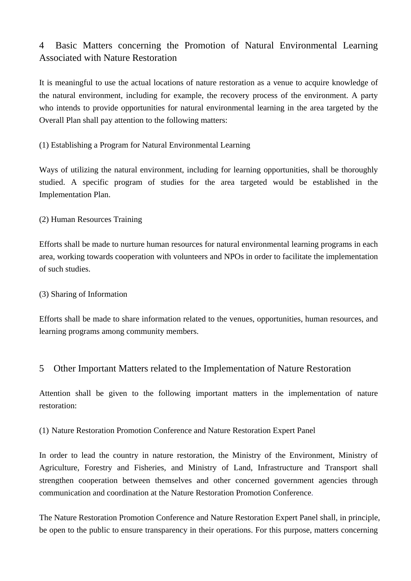# 4 Basic Matters concerning the Promotion of Natural Environmental Learning Associated with Nature Restoration

It is meaningful to use the actual locations of nature restoration as a venue to acquire knowledge of the natural environment, including for example, the recovery process of the environment. A party who intends to provide opportunities for natural environmental learning in the area targeted by the Overall Plan shall pay attention to the following matters:

## (1) Establishing a Program for Natural Environmental Learning

Ways of utilizing the natural environment, including for learning opportunities, shall be thoroughly studied. A specific program of studies for the area targeted would be established in the Implementation Plan.

## (2) Human Resources Training

Efforts shall be made to nurture human resources for natural environmental learning programs in each area, working towards cooperation with volunteers and NPOs in order to facilitate the implementation of such studies.

## (3) Sharing of Information

Efforts shall be made to share information related to the venues, opportunities, human resources, and learning programs among community members.

# 5 Other Important Matters related to the Implementation of Nature Restoration

Attention shall be given to the following important matters in the implementation of nature restoration:

## (1) Nature Restoration Promotion Conference and Nature Restoration Expert Panel

In order to lead the country in nature restoration, the Ministry of the Environment, Ministry of Agriculture, Forestry and Fisheries, and Ministry of Land, Infrastructure and Transport shall strengthen cooperation between themselves and other concerned government agencies through communication and coordination at the Nature Restoration Promotion Conference.

The Nature Restoration Promotion Conference and Nature Restoration Expert Panel shall, in principle, be open to the public to ensure transparency in their operations. For this purpose, matters concerning